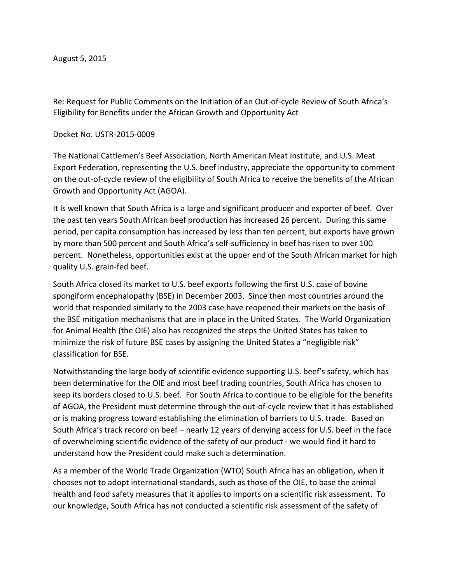August 5, 2015

Re: Request for Public Comments on the Initiation of an Out-of-cycle Review of South Africa's Eligibility for Benefits under the African Growth and Opportunity Act

## Docket No. USTR-2015-0009

The National Cattlemen's Beef Association, North American Meat Institute, and U.S. Meat Export Federation, representing the U.S. beef industry, appreciate the opportunity to comment on the out-of-cycle review of the eligibility of South Africa to receive the benefits of the African Growth and Opportunity Act (AGOA).

It is well known that South Africa is a large and significant producer and exporter of beef. Over the past ten years South African beef production has increased 26 percent. During this same period, per capita consumption has increased by less than ten percent, but exports have grown by more than 500 percent and South Africa's self-sufficiency in beef has risen to over 100 percent. Nonetheless, opportunities exist at the upper end of the South African market for high quality U.S. grain-fed beef.

South Africa closed its market to U.S. beef exports following the first U.S. case of bovine spongiform encephalopathy (BSE) in December 2003. Since then most countries around the world that responded similarly to the 2003 case have reopened their markets on the basis of the BSE mitigation mechanisms that are in place in the United States. The World Organization for Animal Health (the OIE) also has recognized the steps the United States has taken to minimize the risk of future BSE cases by assigning the United States a "negligible risk" classification for BSE.

Notwithstanding the large body of scientific evidence supporting U.S. beef's safety, which has been determinative for the OIE and most beef trading countries, South Africa has chosen to keep its borders closed to U.S. beef. For South Africa to continue to be eligible for the benefits of AGOA, the President must determine through the out-of-cycle review that it has established or is making progress toward establishing the elimination of barriers to U.S. trade. Based on South Africa's track record on beef – nearly 12 years of denying access for U.S. beef in the face of overwhelming scientific evidence of the safety of our product - we would find it hard to understand how the President could make such a determination.

As a member of the World Trade Organization (WTO) South Africa has an obligation, when it chooses not to adopt international standards, such as those of the OIE, to base the animal health and food safety measures that it applies to imports on a scientific risk assessment. To our knowledge, South Africa has not conducted a scientific risk assessment of the safety of